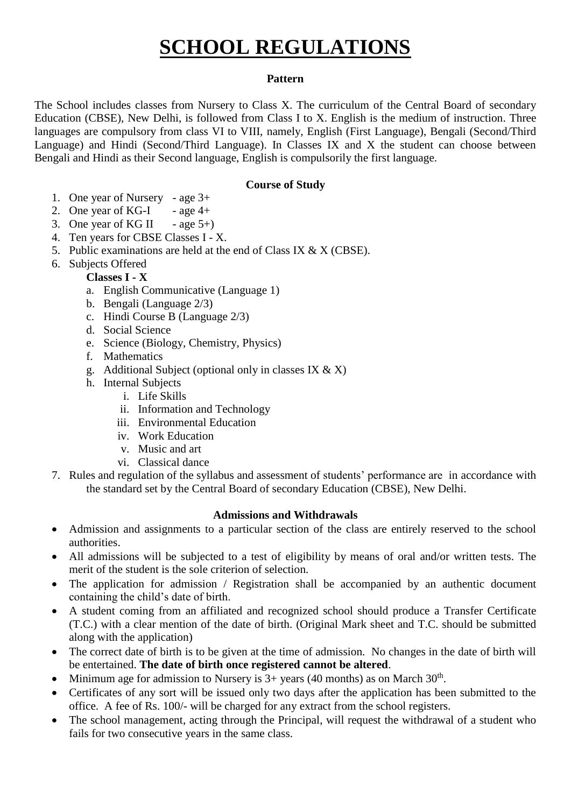# **SCHOOL REGULATIONS**

### **Pattern**

The School includes classes from Nursery to Class X. The curriculum of the Central Board of secondary Education (CBSE), New Delhi, is followed from Class I to X. English is the medium of instruction. Three languages are compulsory from class VI to VIII, namely, English (First Language), Bengali (Second/Third Language) and Hindi (Second/Third Language). In Classes IX and X the student can choose between Bengali and Hindi as their Second language, English is compulsorily the first language.

#### **Course of Study**

- 1. One year of Nursery age 3+
- 2. One year of KG-I  $-$  age 4+
- 3. One year of KG II age  $5+$ )
- 4. Ten years for CBSE Classes I X.
- 5. Public examinations are held at the end of Class IX & X (CBSE).
- 6. Subjects Offered

# **Classes I - X**

- a. English Communicative (Language 1)
- b. Bengali (Language 2/3)
- c. Hindi Course B (Language 2/3)
- d. Social Science
- e. Science (Biology, Chemistry, Physics)
- f. Mathematics
- g. Additional Subject (optional only in classes IX  $\&$  X)
- h. Internal Subjects
	- i. Life Skills
	- ii. Information and Technology
	- iii. Environmental Education
	- iv. Work Education
	- v. Music and art
	- vi. Classical dance
- 7. Rules and regulation of the syllabus and assessment of students' performance are in accordance with the standard set by the Central Board of secondary Education (CBSE), New Delhi.

# **Admissions and Withdrawals**

- Admission and assignments to a particular section of the class are entirely reserved to the school authorities.
- All admissions will be subjected to a test of eligibility by means of oral and/or written tests. The merit of the student is the sole criterion of selection.
- The application for admission / Registration shall be accompanied by an authentic document containing the child's date of birth.
- A student coming from an affiliated and recognized school should produce a Transfer Certificate (T.C.) with a clear mention of the date of birth. (Original Mark sheet and T.C. should be submitted along with the application)
- The correct date of birth is to be given at the time of admission. No changes in the date of birth will be entertained. **The date of birth once registered cannot be altered**.
- Minimum age for admission to Nursery is  $3+$  years (40 months) as on March  $30<sup>th</sup>$ .
- Certificates of any sort will be issued only two days after the application has been submitted to the office. A fee of Rs. 100/- will be charged for any extract from the school registers.
- The school management, acting through the Principal, will request the withdrawal of a student who fails for two consecutive years in the same class.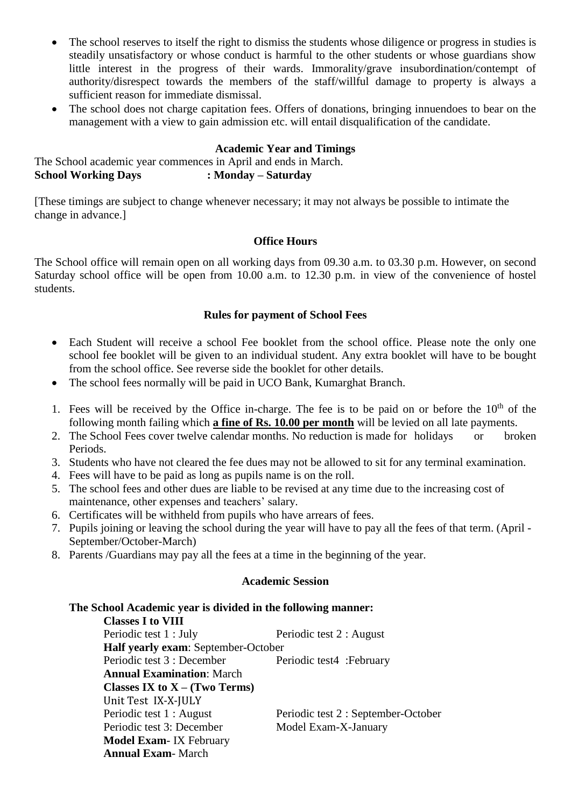- The school reserves to itself the right to dismiss the students whose diligence or progress in studies is steadily unsatisfactory or whose conduct is harmful to the other students or whose guardians show little interest in the progress of their wards. Immorality/grave insubordination/contempt of authority/disrespect towards the members of the staff/willful damage to property is always a sufficient reason for immediate dismissal.
- The school does not charge capitation fees. Offers of donations, bringing innuendoes to bear on the management with a view to gain admission etc. will entail disqualification of the candidate.

# **Academic Year and Timings**

The School academic year commences in April and ends in March. **School Working Days : Monday – Saturday**

[These timings are subject to change whenever necessary; it may not always be possible to intimate the change in advance.]

#### **Office Hours**

The School office will remain open on all working days from 09.30 a.m. to 03.30 p.m. However, on second Saturday school office will be open from 10.00 a.m. to 12.30 p.m. in view of the convenience of hostel students.

# **Rules for payment of School Fees**

- Each Student will receive a school Fee booklet from the school office. Please note the only one school fee booklet will be given to an individual student. Any extra booklet will have to be bought from the school office. See reverse side the booklet for other details.
- The school fees normally will be paid in UCO Bank, Kumarghat Branch.
- 1. Fees will be received by the Office in-charge. The fee is to be paid on or before the  $10<sup>th</sup>$  of the following month failing which **a fine of Rs. 10.00 per month** will be levied on all late payments.
- 2. The School Fees cover twelve calendar months. No reduction is made for holidays or broken Periods.
- 3. Students who have not cleared the fee dues may not be allowed to sit for any terminal examination.
- 4. Fees will have to be paid as long as pupils name is on the roll.
- 5. The school fees and other dues are liable to be revised at any time due to the increasing cost of maintenance, other expenses and teachers' salary.
- 6. Certificates will be withheld from pupils who have arrears of fees.
- 7. Pupils joining or leaving the school during the year will have to pay all the fees of that term. (April September/October-March)
- 8. Parents /Guardians may pay all the fees at a time in the beginning of the year.

#### **Academic Session**

# **The School Academic year is divided in the following manner:**

**Classes I to VIII** Periodic test 1 : July Periodic test 2 : August **Half yearly exam**: September-October Periodic test 3 : December Periodic test 4 : February **Annual Examination**: March **Classes IX to X – (Two Terms)** Unit Test IX-X-JULY Periodic test 1 : August Periodic test 2 : September-October Periodic test 3: December Model Exam-X-January **Model Exam**- IX February **Annual Exam**- March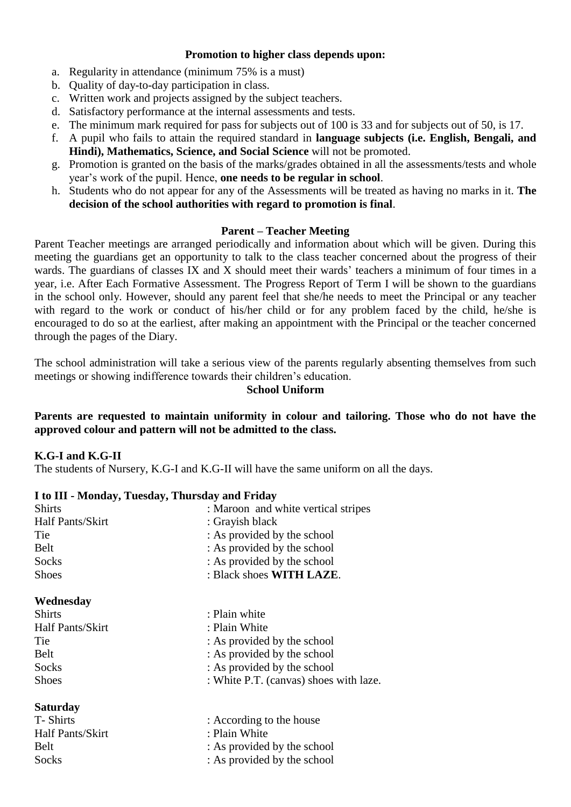#### **Promotion to higher class depends upon:**

- a. Regularity in attendance (minimum 75% is a must)
- b. Quality of day-to-day participation in class.
- c. Written work and projects assigned by the subject teachers.
- d. Satisfactory performance at the internal assessments and tests.
- e. The minimum mark required for pass for subjects out of 100 is 33 and for subjects out of 50, is 17.
- f. A pupil who fails to attain the required standard in **language subjects (i.e. English, Bengali, and Hindi), Mathematics, Science, and Social Science** will not be promoted.
- g. Promotion is granted on the basis of the marks/grades obtained in all the assessments/tests and whole year's work of the pupil. Hence, **one needs to be regular in school**.
- h. Students who do not appear for any of the Assessments will be treated as having no marks in it. **The decision of the school authorities with regard to promotion is final**.

#### **Parent – Teacher Meeting**

Parent Teacher meetings are arranged periodically and information about which will be given. During this meeting the guardians get an opportunity to talk to the class teacher concerned about the progress of their wards. The guardians of classes IX and X should meet their wards' teachers a minimum of four times in a year, i.e. After Each Formative Assessment. The Progress Report of Term I will be shown to the guardians in the school only. However, should any parent feel that she/he needs to meet the Principal or any teacher with regard to the work or conduct of his/her child or for any problem faced by the child, he/she is encouraged to do so at the earliest, after making an appointment with the Principal or the teacher concerned through the pages of the Diary.

The school administration will take a serious view of the parents regularly absenting themselves from such meetings or showing indifference towards their children's education.

#### **School Uniform**

# **Parents are requested to maintain uniformity in colour and tailoring. Those who do not have the approved colour and pattern will not be admitted to the class.**

#### **K.G-I and K.G-II**

The students of Nursery, K.G-I and K.G-II will have the same uniform on all the days.

#### **I to III - Monday, Tuesday, Thursday and Friday**

| <b>Shirts</b>    | : Maroon and white vertical stripes    |
|------------------|----------------------------------------|
| Half Pants/Skirt | : Grayish black                        |
| Tie              | : As provided by the school            |
| <b>Belt</b>      | : As provided by the school            |
| Socks            | : As provided by the school            |
| <b>Shoes</b>     | : Black shoes WITH LAZE.               |
| Wednesday        |                                        |
| <b>Shirts</b>    | : Plain white                          |
| Half Pants/Skirt | : Plain White                          |
| Tie              | : As provided by the school            |
| <b>Belt</b>      | : As provided by the school            |
| Socks            | : As provided by the school            |
| <b>Shoes</b>     | : White P.T. (canvas) shoes with laze. |
| <b>Saturday</b>  |                                        |
| T-Shirts         | : According to the house               |
| Half Pants/Skirt | : Plain White                          |
| Belt             | : As provided by the school            |

Socks : As provided by the school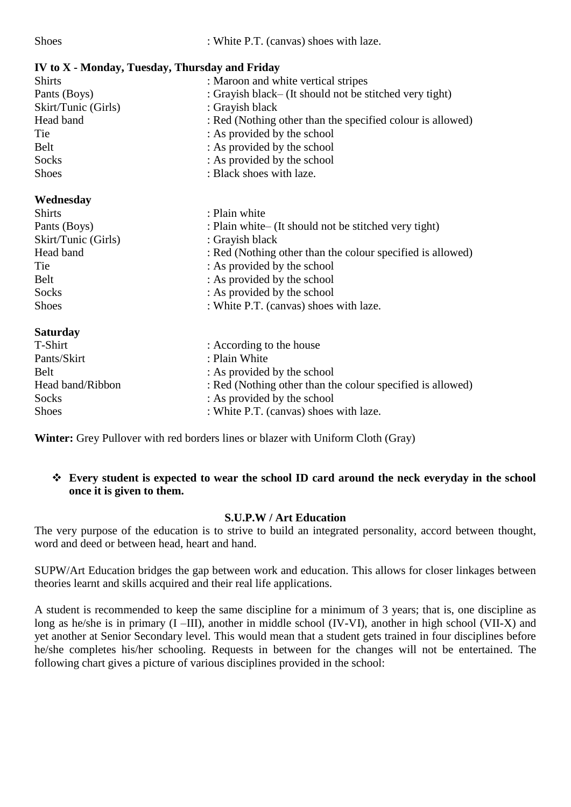Shoes : White P.T. (canvas) shoes with laze.

| IV to X - Monday, Tuesday, Thursday and Friday |                                                            |  |
|------------------------------------------------|------------------------------------------------------------|--|
| <b>Shirts</b>                                  | : Maroon and white vertical stripes                        |  |
| Pants (Boys)                                   | : Grayish black– (It should not be stitched very tight)    |  |
| Skirt/Tunic (Girls)                            | : Grayish black                                            |  |
| Head band                                      | : Red (Nothing other than the specified colour is allowed) |  |
| Tie                                            | : As provided by the school                                |  |
| Belt                                           | : As provided by the school                                |  |
| Socks                                          | : As provided by the school                                |  |
| <b>Shoes</b>                                   | : Black shoes with laze.                                   |  |
| Wednesday                                      |                                                            |  |
| <b>Shirts</b>                                  | : Plain white                                              |  |
| Pants (Boys)                                   | : Plain white– (It should not be stitched very tight)      |  |
| Skirt/Tunic (Girls)                            | : Grayish black                                            |  |
| Head band                                      | : Red (Nothing other than the colour specified is allowed) |  |
| Tie                                            | : As provided by the school                                |  |
| Belt                                           | : As provided by the school                                |  |
| Socks                                          | : As provided by the school                                |  |
| <b>Shoes</b>                                   | : White P.T. (canvas) shoes with laze.                     |  |
| <b>Saturday</b>                                |                                                            |  |
| T-Shirt                                        | : According to the house                                   |  |
| Pants/Skirt                                    | : Plain White                                              |  |
| <b>Belt</b>                                    | : As provided by the school                                |  |
| Head band/Ribbon                               | : Red (Nothing other than the colour specified is allowed) |  |
| Socks                                          | : As provided by the school                                |  |
| <b>Shoes</b>                                   | : White P.T. (canvas) shoes with laze.                     |  |

**Winter:** Grey Pullover with red borders lines or blazer with Uniform Cloth (Gray)

# **Every student is expected to wear the school ID card around the neck everyday in the school once it is given to them.**

# **S.U.P.W / Art Education**

The very purpose of the education is to strive to build an integrated personality, accord between thought, word and deed or between head, heart and hand.

SUPW/Art Education bridges the gap between work and education. This allows for closer linkages between theories learnt and skills acquired and their real life applications.

A student is recommended to keep the same discipline for a minimum of 3 years; that is, one discipline as long as he/she is in primary (I –III), another in middle school (IV-VI), another in high school (VII-X) and yet another at Senior Secondary level. This would mean that a student gets trained in four disciplines before he/she completes his/her schooling. Requests in between for the changes will not be entertained. The following chart gives a picture of various disciplines provided in the school: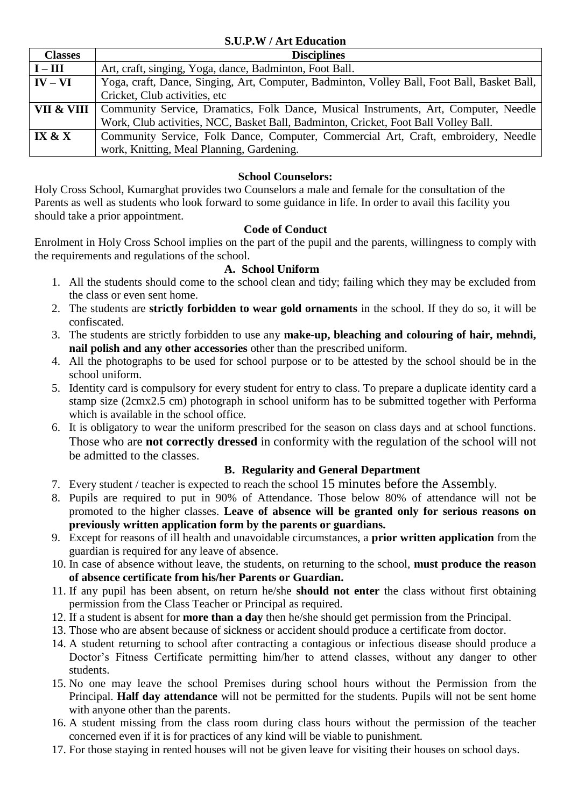#### **S.U.P.W / Art Education**

| <b>Classes</b>              | <b>Disciplines</b>                                                                          |
|-----------------------------|---------------------------------------------------------------------------------------------|
| $I - III$                   | Art, craft, singing, Yoga, dance, Badminton, Foot Ball.                                     |
| $\mathbf{IV} - \mathbf{VI}$ | Yoga, craft, Dance, Singing, Art, Computer, Badminton, Volley Ball, Foot Ball, Basket Ball, |
|                             | Cricket, Club activities, etc                                                               |
| VII & VIII                  | Community Service, Dramatics, Folk Dance, Musical Instruments, Art, Computer, Needle        |
|                             | Work, Club activities, NCC, Basket Ball, Badminton, Cricket, Foot Ball Volley Ball.         |
| IX & X                      | Community Service, Folk Dance, Computer, Commercial Art, Craft, embroidery, Needle          |
|                             | work, Knitting, Meal Planning, Gardening.                                                   |

# **School Counselors:**

Holy Cross School, Kumarghat provides two Counselors a male and female for the consultation of the Parents as well as students who look forward to some guidance in life. In order to avail this facility you should take a prior appointment.

# **Code of Conduct**

Enrolment in Holy Cross School implies on the part of the pupil and the parents, willingness to comply with the requirements and regulations of the school.

#### **A. School Uniform**

- 1. All the students should come to the school clean and tidy; failing which they may be excluded from the class or even sent home.
- 2. The students are **strictly forbidden to wear gold ornaments** in the school. If they do so, it will be confiscated.
- 3. The students are strictly forbidden to use any **make-up, bleaching and colouring of hair, mehndi, nail polish and any other accessories** other than the prescribed uniform.
- 4. All the photographs to be used for school purpose or to be attested by the school should be in the school uniform.
- 5. Identity card is compulsory for every student for entry to class. To prepare a duplicate identity card a stamp size (2cmx2.5 cm) photograph in school uniform has to be submitted together with Performa which is available in the school office.
- 6. It is obligatory to wear the uniform prescribed for the season on class days and at school functions. Those who are **not correctly dressed** in conformity with the regulation of the school will not be admitted to the classes.

# **B. Regularity and General Department**

- 7. Every student / teacher is expected to reach the school 15 minutes before the Assembly.
- 8. Pupils are required to put in 90% of Attendance. Those below 80% of attendance will not be promoted to the higher classes. **Leave of absence will be granted only for serious reasons on previously written application form by the parents or guardians.**
- 9. Except for reasons of ill health and unavoidable circumstances, a **prior written application** from the guardian is required for any leave of absence.
- 10. In case of absence without leave, the students, on returning to the school, **must produce the reason of absence certificate from his/her Parents or Guardian.**
- 11. If any pupil has been absent, on return he/she **should not enter** the class without first obtaining permission from the Class Teacher or Principal as required.
- 12. If a student is absent for **more than a day** then he/she should get permission from the Principal.
- 13. Those who are absent because of sickness or accident should produce a certificate from doctor.
- 14. A student returning to school after contracting a contagious or infectious disease should produce a Doctor's Fitness Certificate permitting him/her to attend classes, without any danger to other students.
- 15. No one may leave the school Premises during school hours without the Permission from the Principal. **Half day attendance** will not be permitted for the students. Pupils will not be sent home with anyone other than the parents.
- 16. A student missing from the class room during class hours without the permission of the teacher concerned even if it is for practices of any kind will be viable to punishment.
- 17. For those staying in rented houses will not be given leave for visiting their houses on school days.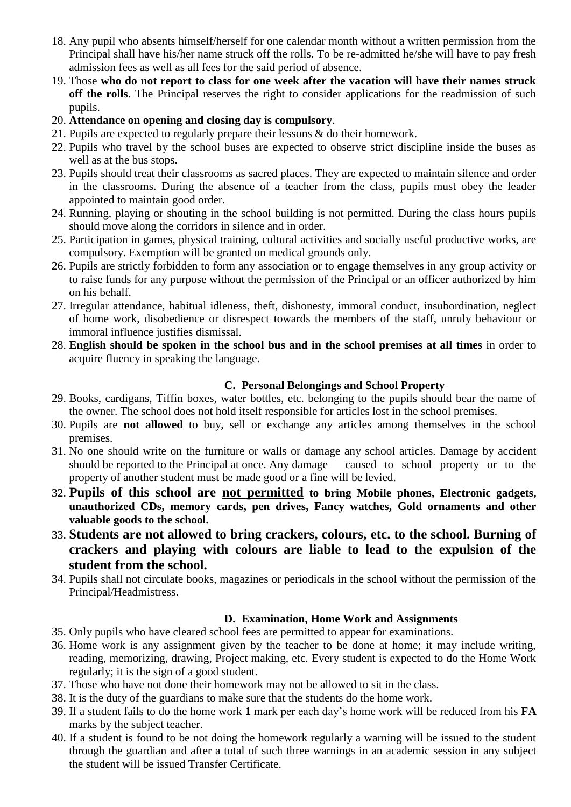- 18. Any pupil who absents himself/herself for one calendar month without a written permission from the Principal shall have his/her name struck off the rolls. To be re-admitted he/she will have to pay fresh admission fees as well as all fees for the said period of absence.
- 19. Those **who do not report to class for one week after the vacation will have their names struck off the rolls**. The Principal reserves the right to consider applications for the readmission of such pupils.
- 20. **Attendance on opening and closing day is compulsory**.
- 21. Pupils are expected to regularly prepare their lessons & do their homework.
- 22. Pupils who travel by the school buses are expected to observe strict discipline inside the buses as well as at the bus stops.
- 23. Pupils should treat their classrooms as sacred places. They are expected to maintain silence and order in the classrooms. During the absence of a teacher from the class, pupils must obey the leader appointed to maintain good order.
- 24. Running, playing or shouting in the school building is not permitted. During the class hours pupils should move along the corridors in silence and in order.
- 25. Participation in games, physical training, cultural activities and socially useful productive works, are compulsory. Exemption will be granted on medical grounds only.
- 26. Pupils are strictly forbidden to form any association or to engage themselves in any group activity or to raise funds for any purpose without the permission of the Principal or an officer authorized by him on his behalf.
- 27. Irregular attendance, habitual idleness, theft, dishonesty, immoral conduct, insubordination, neglect of home work, disobedience or disrespect towards the members of the staff, unruly behaviour or immoral influence justifies dismissal.
- 28. **English should be spoken in the school bus and in the school premises at all times** in order to acquire fluency in speaking the language.

# **C. Personal Belongings and School Property**

- 29. Books, cardigans, Tiffin boxes, water bottles, etc. belonging to the pupils should bear the name of the owner. The school does not hold itself responsible for articles lost in the school premises.
- 30. Pupils are **not allowed** to buy, sell or exchange any articles among themselves in the school premises.
- 31. No one should write on the furniture or walls or damage any school articles. Damage by accident should be reported to the Principal at once. Any damage caused to school property or to the property of another student must be made good or a fine will be levied.
- 32. **Pupils of this school are not permitted to bring Mobile phones, Electronic gadgets, unauthorized CDs, memory cards, pen drives, Fancy watches, Gold ornaments and other valuable goods to the school.**
- 33. **Students are not allowed to bring crackers, colours, etc. to the school. Burning of crackers and playing with colours are liable to lead to the expulsion of the student from the school.**
- 34. Pupils shall not circulate books, magazines or periodicals in the school without the permission of the Principal/Headmistress.

# **D. Examination, Home Work and Assignments**

- 35. Only pupils who have cleared school fees are permitted to appear for examinations.
- 36. Home work is any assignment given by the teacher to be done at home; it may include writing, reading, memorizing, drawing, Project making, etc. Every student is expected to do the Home Work regularly; it is the sign of a good student.
- 37. Those who have not done their homework may not be allowed to sit in the class.
- 38. It is the duty of the guardians to make sure that the students do the home work.
- 39. If a student fails to do the home work **1** mark per each day's home work will be reduced from his **FA** marks by the subject teacher.
- 40. If a student is found to be not doing the homework regularly a warning will be issued to the student through the guardian and after a total of such three warnings in an academic session in any subject the student will be issued Transfer Certificate.